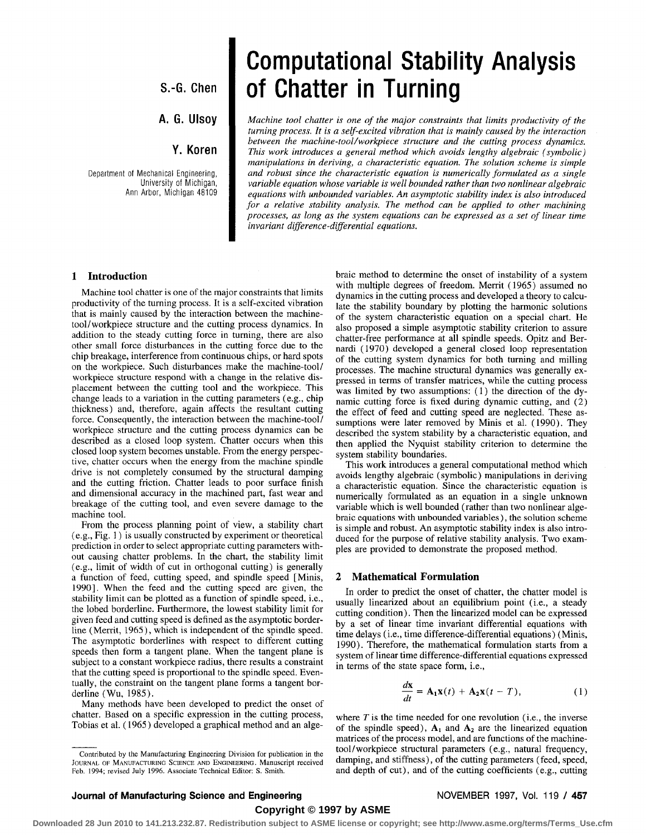**S.-G. Chen** 

# **A. G. Ulsoy**

# **Y. Koren**

Department of Mechanical Engineering, University of Michigan, Ann Arbor, Michigan 48109

# **Computational Stability Analysis of Chatter in Turning**

*Machine tool chatter is one of the major constraints that limits productivity of the turning process. It is a self-excited vibration that is mainly caused by the interaction between the machine-tool/workpiece structure and the cutting process dynamics. This work introduces a general method which avoids lengthy algebraic (symbolic) manipulations in deriving, a characteristic equation. The solution scheme is simple and robust since the characteristic equation is numerically formulated as a single variable equation whose variable is well bounded rather than two nonlinear algebraic equations with unbounded variables. An asymptotic stability index is also introduced for a relative stability analysis. The method can be applied to other machining processes, as long as the system equations can be expressed as a set of linear time invariant difference-differential equations.* 

## **1 Introduction**

Machine tool chatter is one of the major constraints that limits productivity of the turning process. It is a self-excited vibration that is mainly caused by the interaction between the machinetool/workpiece structure and the cutting process dynamics. In addition to the steady cutting force in turning, there are also other small force disturbances in the cutting force due to the chip breakage, interference from continuous chips, or hard spots on the workpiece. Such disturbances make the machine-tool/ workpiece structure respond with a change in the relative displacement between the cutting tool and the workpiece. This change leads to a variation in the cutting parameters (e.g., chip thickness) and, therefore, again affects the resultant cutting force. Consequently, the interaction between the machine-tool/ workpiece structure and the cutting process dynamics can be described as a closed loop system. Chatter occurs when this closed loop system becomes unstable. From the energy perspective, chatter occurs when the energy from the machine spindle drive is not completely consumed by the structural damping and the cutting friction. Chatter leads to poor surface finish and dimensional accuracy in the machined part, fast wear and breakage of the cutting tool, and even severe damage to the machine tool.

From the process planning point of view, a stability chart (e.g., Fig. 1) is usually constructed by experiment or theoretical prediction in order to select appropriate cutting parameters without causing chatter problems. In the chart, the stability limit (e.g., limit of width of cut in orthogonal cutting) is generally a function of feed, cutting speed, and spindle speed [Minis, 1990]. When the feed and the cutting speed are given, the stability limit can be plotted as a function of spindle speed, i.e., the lobed borderline. Furthermore, the lowest stability limit for given feed and cutting speed is defined as the asymptotic borderline (Merrit, 1965), which is independent of the spindle speed. The asymptotic borderlines with respect to different cutting speeds then form a tangent plane. When the tangent plane is subject to a constant workpiece radius, there results a constraint that the cutting speed is proportional to the spindle speed. Eventually, the constraint on the tangent plane forms a tangent borderline (Wu, 1985).

Many methods have been developed to predict the onset of chatter. Based on a specific expression in the cutting process, Tobias et al. (1965) developed a graphical method and an alge-

braic method to determine the onset of instability of a system with multiple degrees of freedom. Merrit (1965) assumed no dynamics in the cutting process and developed a theory to calculate the stability boundary by plotting the harmonic solutions of the system characteristic equation on a special chart. He also proposed a simple asymptotic stability criterion to assure chatter-free performance at all spindle speeds. Opitz and Bernardi (1970) developed a general closed loop representation of the cutting system dynamics for both turning and milling processes. The machine structural dynamics was generally expressed in terms of transfer matrices, while the cutting process was limited by two assumptions: (1) the direction of the dynamic cutting force is fixed during dynamic cutting, and (2) the effect of feed and cutting speed are neglected. These assumptions were later removed by Minis et al. (1990). They described the system stability by a characteristic equation, and then applied the Nyquist stability criterion to determine the system stability boundaries.

This work introduces a general computational method which avoids lengthy algebraic (symbolic) manipulations in deriving a characteristic equation. Since the characteristic equation is numerically formulated as an equation in a single unknown variable which is well bounded (rather than two nonlinear algebraic equations with unbounded variables), the solution scheme is simple and robust. An asymptotic stability index is also introduced for the purpose of relative stability analysis. Two examples are provided to demonstrate the proposed method.

### 2 Mathematical Formulation

In order to predict the onset of chatter, the chatter model is usually linearized about an equilibrium point (i.e., a steady cutting condition). Then the linearized model can be expressed by a set of linear time invariant differential equations with time delays (i.e., time difference-differential equations) (Minis, 1990). Therefore, the mathematical formulation starts from a system of linear time difference-differential equations expressed in terms of the state space form, i.e.,

$$
\frac{d\mathbf{x}}{dt} = \mathbf{A}_1 \mathbf{x}(t) + \mathbf{A}_2 \mathbf{x}(t - T),
$$
 (1)

where *T* is the time needed for one revolution (i.e., the inverse of the spindle speed),  $A_1$  and  $A_2$  are the linearized equation matrices of the process model, and are functions of the machinetool/workpiece structural parameters (e.g., natural frequency, damping, and stiffness), of the cutting parameters (feed, speed, and depth of cut), and of the cutting coefficients (e.g., cutting

# **Copyright © 1997 by ASME**

**Downloaded 28 Jun 2010 to 141.213.232.87. Redistribution subject to ASME license or copyright; see http://www.asme.org/terms/Terms\_Use.cfm**

Contributed by the Manufacturing Engineering Division for publication in the JOURNAL OF MANUFACTURING SCIENCE AND ENGINEERING. Manuscript received Feb. 1994; revised July 1996. Associate Technical Editor: S. Smith.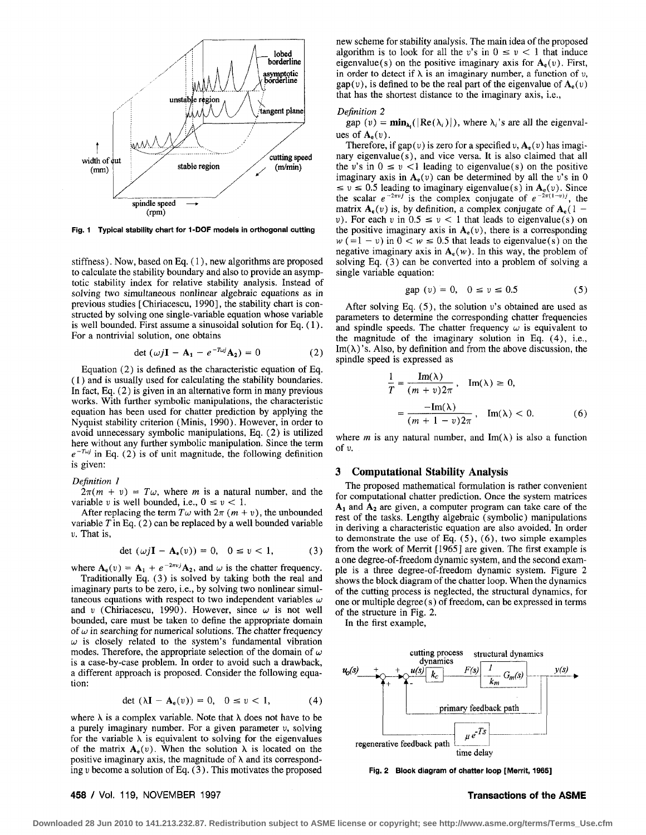

**Fig. 1 Typical stability chart for 1-DOF models in orthogonal cutting** 

stiffness). Now, based on Eq. (1), new algorithms are proposed to calculate the stability boundary and also to provide an asymptotic stability index for relative stability analysis. Instead of solving two simultaneous nonlinear algebraic equations as in previous studies [Chiriacescu, 1990], the stability chart is constructed by solving one single-variable equation whose variable is well bounded. First assume a sinusoidal solution for Eq. (1). For a nontrivial solution, one obtains

$$
\det\left(\omega j\mathbf{I} - \mathbf{A}_1 - e^{-T\omega j}\mathbf{A}_2\right) = 0\tag{2}
$$

Equation (2) is defined as the characteristic equation of Eq. (1) and is usually used for calculating the stability boundaries. In fact, Eq. (2) is given in an alternative form in many previous works. With further symbolic manipulations, the characteristic equation has been used for chatter prediction by applying the Nyquist stability criterion (Minis, 1990). However, in order to avoid unnecessary symbolic manipulations, Eq. (2) is utilized here without any further symbolic manipulation. Since the term  $e^{-T\omega j}$  in Eq. (2) is of unit magnitude, the following definition is given:

#### *Definition 1*

 $2\pi(m + v) = T\omega$ , where *m* is a natural number, and the variable *v* is well bounded, i.e.,  $0 \le v \le 1$ .

After replacing the term  $T\omega$  with  $2\pi$  ( $m + v$ ), the unbounded variable  $T$  in Eq. (2) can be replaced by a well bounded variable *v.* That is,

$$
\det \left( \omega j\mathbf{I} - \mathbf{A}_{e}(v) \right) = 0, \quad 0 \le v < 1,\tag{3}
$$

where  $A_e(v) = A_1 + e^{-2\pi v} A_2$ , and  $\omega$  is the chatter frequency.

Traditionally Eq. (3) is solved by taking both the real and imaginary parts to be zero, i.e., by solving two nonlinear simultaneous equations with respect to two independent variables  $\omega$ and v (Chiriacescu, 1990). However, since  $\omega$  is not well bounded, care must be taken to define the appropriate domain of  $\omega$  in searching for numerical solutions. The chatter frequency  $\omega$  is closely related to the system's fundamental vibration modes. Therefore, the appropriate selection of the domain of  $\omega$ is a case-by-case problem. In order to avoid such a drawback, a different approach is proposed. Consider the following equation:

$$
\det\left(\lambda \mathbf{I} - \mathbf{A}_{e}(v)\right) = 0, \quad 0 \le v < 1,\tag{4}
$$

where  $\lambda$  is a complex variable. Note that  $\lambda$  does not have to be a purely imaginary number. For a given parameter *v,* solving for the variable  $\lambda$  is equivalent to solving for the eigenvalues of the matrix  $A_e(v)$ . When the solution  $\lambda$  is located on the positive imaginary axis, the magnitude of  $\lambda$  and its corresponding *v* become a solution of Eq. (3). This motivates the proposed new scheme for stability analysis. The main idea of the proposed algorithm is to look for all the v's in  $0 \le v < 1$  that induce eigenvalue(s) on the positive imaginary axis for  $A_e(v)$ . First, in order to detect if  $\lambda$  is an imaginary number, a function of  $\nu$ , gap(v), is defined to be the real part of the eigenvalue of  $A_e(v)$ that has the shortest distance to the imaginary axis, i.e.,

#### *Definition 2*

gap (v) =  $\min_{\lambda_i}(|\text{Re}(\lambda_i)|)$ , where  $\lambda_i$ 's are all the eigenvalues of  $A_e(v)$ .

Therefore, if gap( $v$ ) is zero for a specified  $v, A_e(v)$  has imaginary eigenvalue $(s)$ , and vice versa. It is also claimed that all the v's in  $0 \le v \le 1$  leading to eigenvalue(s) on the positive imaginary axis in  $A_e(v)$  can be determined by all the v's in 0  $\leq v \leq 0.5$  leading to imaginary eigenvalue(s) in  $A_e(v)$ . Since the scalar  $e^{-2\pi v}$  is the complex conjugate of  $e^{-2\pi (1-v)}$ , the matrix  $A_e(v)$  is, by definition, a complex conjugate of  $A_e(1$ *v*). For each *v* in  $0.5 \le v \le 1$  that leads to eigenvalue(s) on the positive imaginary axis in  $A<sub>e</sub>(v)$ , there is a corresponding  $w (=1 - v)$  in  $0 < w \le 0.5$  that leads to eigenvalue(s) on the negative imaginary axis in  $A_e(w)$ . In this way, the problem of solving Eq. (3) can be converted into a problem of solving a single variable equation:

$$
gap (v) = 0, \quad 0 \le v \le 0.5
$$
 (5)

After solving Eq.  $(5)$ , the solution v's obtained are used as parameters to determine the corresponding chatter frequencies and spindle speeds. The chatter frequency  $\omega$  is equivalent to the magnitude of the imaginary solution in Eq. (4), i.e.,  $Im(\lambda)'$ s. Also, by definition and from the above discussion, the spindle speed is expressed as

$$
\frac{1}{T} = \frac{\text{Im}(\lambda)}{(m+v)2\pi}, \quad \text{Im}(\lambda) \ge 0,
$$

$$
= \frac{-\text{Im}(\lambda)}{(m+1-v)2\pi}, \quad \text{Im}(\lambda) < 0.
$$
 (6)

where *m* is any natural number, and Im( $\lambda$ ) is also a function of *v.* 

## 3 Computational Stability Analysis

The proposed mathematical formulation is rather convenient for computational chatter prediction. Once the system matrices  $A_1$  and  $A_2$  are given, a computer program can take care of the rest of the tasks. Lengthy algebraic (symbolic) manipulations in deriving a characteristic equation are also avoided. In order to demonstrate the use of Eq.  $(5)$ ,  $(6)$ , two simple examples from the work of Merrit [1965] are given. The first example is a one degree-of-freedom dynamic system, and the second example is a three degree-of-freedom dynamic system. Figure 2 shows the block diagram of the chatter loop. When the dynamics of the cutting process is neglected, the structural dynamics, for one or multiple degree (s) of freedom, can be expressed in terms of the structure in Fig. 2.

In the first example,



Fig. 2 Block diagram of chatter loop [Merrit, 1965]

#### **458** / Vol. 119, NOVEMBER 1997 **Transactions of the ASME**

**Downloaded 28 Jun 2010 to 141.213.232.87. Redistribution subject to ASME license or copyright; see http://www.asme.org/terms/Terms\_Use.cfm**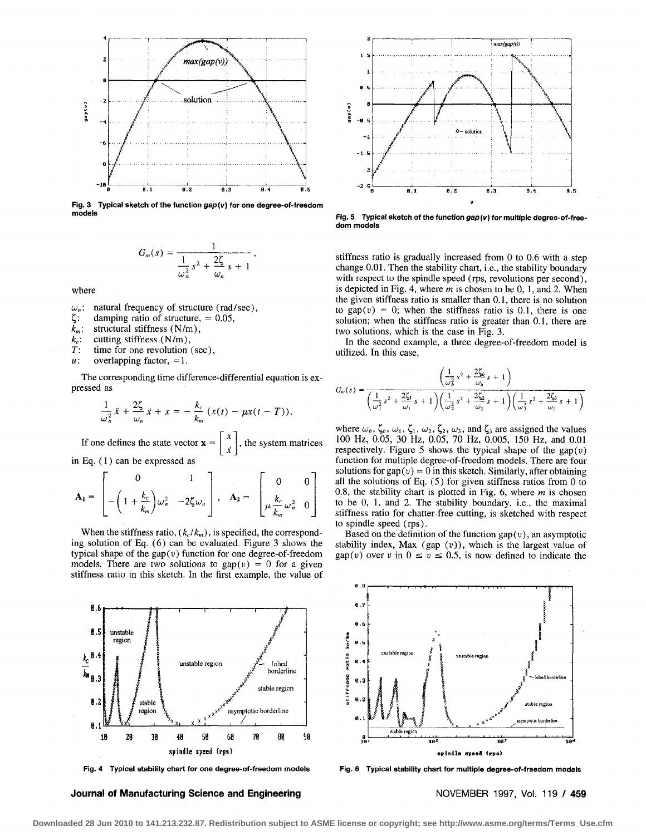

**Fig. 3 Typical sketch of the function gap(v) for one degree-of-freedom** 

$$
G_m(s) = \frac{1}{\frac{1}{\omega_n^2} s^2 + \frac{2\zeta}{\omega_n} s + 1}
$$

where

*u<sub>n</sub>*: natural frequency of structure (rad/sec),<br> $\zeta$ : damping ratio of structure, = 0.05,

damping ratio of structure,  $= 0.05$ ,

 $k_m$ : structural stiffness (N/m),

 $k_c$ : cutting stiffness (N/m),<br>*T*: time for one revolution time for one revolution (sec),

 $u:$  overlapping factor, =1.

The corresponding time difference-differential equation is expressed as

$$
\frac{1}{\omega_n^2}\ddot{x}+\frac{2\zeta}{\omega_n}\dot{x}+x=-\frac{k_c}{k_m}\left(x(t)-\mu x(t-T)\right).
$$

If one defines the state vector  $\mathbf{x} = \begin{bmatrix} 1 \\ 1 \end{bmatrix}$ , the system matrices

in Eq. (1) can be expressed as

$$
\mathbf{A}_1 = \begin{bmatrix} 0 & 1 \\ -\left(1 + \frac{k_c}{k_m}\right)\omega_n^2 & -2\zeta\omega_n \end{bmatrix}, \quad \mathbf{A}_2 = \begin{bmatrix} 0 & 0 \\ \mu \frac{k_c}{k_m}\omega_n^2 & 0 \end{bmatrix}
$$

When the stiffness ratio,  $(k_c/k_m)$ , is specified, the corresponding solution of Eq. (6) can be evaluated. Figure 3 shows the typical shape of the gap( $v$ ) function for one degree-of-freedom models. There are two solutions to  $gap(v) = 0$  for a given stiffness ratio in this sketch. In the first example, the value of



**Fig. 4 Typical stability chart for one degree-of-freedom models** 

**Journal of Manufacturing Science and Engineering NOVEMBER 1997, Vol. 119 / 459** 



Fig. 5 Typical sketch of the function gap (v) for multiple degree-of-free**dom models** 

stiffness ratio is gradually increased from 0 to 0.6 with a step change 0.01. Then the stability chart, i.e., the stability boundary with respect to the spindle speed (rps, revolutions per second), is depicted in Fig. 4, where *m* is chosen to be 0, 1, and 2. When the given stiffness ratio is smaller than 0.1, there is no solution to  $\text{gap}(v) = 0$ ; when the stiffness ratio is 0.1, there is one solution; when the stiffness ratio is greater than 0.1, there are two solutions, which is the case in Fig. 3.

In the second example, a three degree-of-freedom model is utilized. In this case,

$$
G_m(s) = \frac{\left(\frac{1}{\omega_b^2} s^2 + \frac{2\zeta_b}{\omega_b} s + 1\right)}{\left(\frac{1}{\omega_1^2} s^2 + \frac{2\zeta_1}{\omega_1} s + 1\right) \left(\frac{1}{\omega_2^2} s^2 + \frac{2\zeta_2}{\omega_2} s + 1\right) \left(\frac{1}{\omega_3^2} s^2 + \frac{2\zeta_3}{\omega_3} s + 1\right)}
$$

where  $\omega_b$ ,  $\zeta_b$ ,  $\omega_1$ ,  $\zeta_1$ ,  $\omega_2$ ,  $\zeta_2$ ,  $\omega_3$ , and  $\zeta_3$  are assigned the values 100 Hz, 0.05, 30 Hz, 0.05, 70 Hz, 0.005, 150 Hz, and 0.01 respectively. Figure 5 shows the typical shape of the gap( $v$ ) function for multiple degree-of-freedom models. There are four solutions for  $gap(v) = 0$  in this sketch. Similarly, after obtaining all the solutions of Eq. (5) for given stiffness ratios from 0 to 0.8, the stability chart is plotted in Fig. 6, where *m* is chosen to be 0, 1, and 2. The stability boundary, i.e., the maximal stiffness ratio for chatter-free cutting, is sketched with respect to spindle speed (rps).

Based on the definition of the function  $gap(v)$ , an asymptotic stability index, Max (gap  $(v)$ ), which is the largest value of gap(v) over v in  $0 \le v \le 0.5$ , is now defined to indicate the



**Fig. 6 Typical stability chart for multiple degree-of-freedom models**